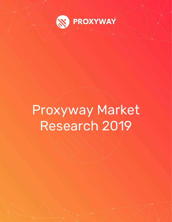

# Proxyway Market Research 2019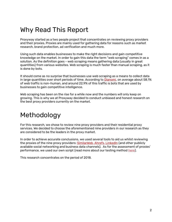## Why Read This Report

Proxyway started as a two people project that concentrates on reviewing proxy providers and their proxies. Proxies are mainly used for gathering data for reasons such as market research, brand protection, ad verification and much more.

Using such data enables businesses to make the right decisions and gain competitive knowledge on the market. In order to gain this data the term "web scraping" comes in as a solution. As the definition goes - web scraping means gathering data (usually in great quantities) from various websites. Web scraping is much faster than manual scraping, as it is done by bots.

It should come as no surprise that businesses use web scraping as a means to collect data in large quantities over short periods of time. According to [Dianomi,](https://www.dianomi.com/cms/wp-content/uploads/2018/06/RobotTrafficReport-US_20June2018_V6-draft.pdf) on average about 58,1% of web traffic is non-human, and around 22,9% of this traffic is bots that are used by businesses to gain competitive intelligence.

Web scraping has been on the rise for a while now and the numbers will only keep on growing. This is why we at Proxyway decided to conduct unbiased and honest research on the best proxy providers currently on the market.

# Methodology

For this research, we chose to review nine proxy providers and their residential proxy services. We decided to choose the aforementioned nine providers in our research as they are considered to be the leaders in the proxy market.

In order to achieve accurate conclusions, we used several tools to aid us whilst reviewing the proxies of the nine proxy providers: [SimilarWeb,](https://www.similarweb.com/) [Ahrefs,](https://ahrefs.com/) [LinkedIn](https://www.linkedin.com/) (and other publicly available social networking and business data channels). As for the assessment of proxies' performance, we used our own script (read more about our testing metho[d here\)](https://proxyway.com/guides/how-to-test-proxies).

This research concentrates on the period of 2018.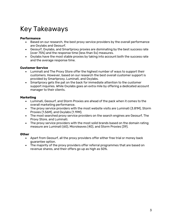# Key Takeaways

#### **Performance**

- Based on our research, the best proxy service providers by the overall performance are Oxylabs and Geosurf.
- Geosurf, Oxylabs, and Smartproxy proxies are dominating by the best success rate (over 75%) and the response time (less than 5s) measures.
- Oxylabs have the most stable proxies by taking into account both the success rate and the average response time.

#### **Customer Service**

- Luminati and The Proxy Store offer the highest number of ways to support their customers. However, based on our research the best overall customer support is provided by Smartproxy, Luminati, and Oxylabs.
- Smartproxy gets the pat on the back for immediate attention to the customer support inquiries. While Oxylabs goes an extra mile by offering a dedicated account manager to their clients.

#### **Marketing**

- Luminati, Geosurf, and Storm Proxies are ahead of the pack when it comes to the overall marketing performance.
- The proxy service providers with the most website visits are Luminati (3.81M), Storm Proxies (1.56M), and Oxylabs (1.19M).
- The most searched proxy service providers on the search engines are Geosurf, The Proxy Store, and Luminati.
- The proxy service providers with the most solid brands based on the domain rating measure are Luminati (60), Microleaves (40), and Storm Proxies (39).

### **Other**

- Apart from Geosurf, all the proxy providers offer either free trial or money back guarantee option.
- The majority of the proxy providers offer referral programmes that are based on revenue shares, and their offers go up as high as 50%.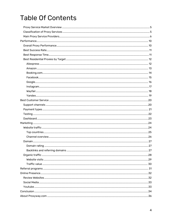# **Table Of Contents**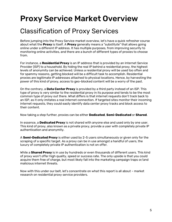# <span id="page-4-0"></span>Proxy Service Market Overview

## <span id="page-4-1"></span>Classification of Proxy Services

Before jumping into the Proxy Service market overview, let's have a quick refresher course about what the **Proxy** is itself. A **Proxy** generally means a "substitute" that allows going online under a different IP address. It has multiple purposes, from improving security to monitoring online activities, and there are a bunch of different types of proxies to choose from.

For instance, a **Residential Proxy** is an IP address that is provided by an Internet Service Provider (ISP) to a household. By hiding the real IP behind a residential proxy, the highest levels of anonymity can be achieved. Unless a residential proxy will be used too often and for spammy reasons, getting blocked will be a difficult task to accomplish. Residential proxies are legitimate IP addresses attached to physical locations. Hence, by harvesting the power of this kind of proxy, access to geo-blocked content will be a worry of the past.

On the contrary, a **Data Center Proxy** is provided by a third party instead of an ISP. This type of proxy is very similar to the residential proxy in its purpose and tends to be the most common type of proxy out there. What differs is that internet requests don't track back to an ISP, as it only imitates a real internet connection. If targeted sites monitor their incoming internet requests, they could easily identify data center proxy tracks and block access to their content.

Now taking a step further, proxies can be either **Dedicated**, **Semi-Dedicated** or **Shared**.

In essence, a **Dedicated Proxy** is not shared with anyone else and used only by one user. This kind of proxy, also known as a private proxy, provide a user with completely private IP authentication and anonymity.

A **Semi-Dedicated Proxy** is either used by 2-5 users simultaneously or given only for the scraping of a specific target. As a proxy can be in use amongst a handful of users, the luxury of completely private IP authentication is not on offer.

While a **Shared Proxy** is in use by hundreds or even thousands of different users. This kind of proxy won't offer high quality, speed or success rate. The only upside is that you could acquire them free of charge, but most likely fall into the marketing campaign traps or/and malicious internet threats.

Now with this under our belt, let's concentrate on what this report is all about – market research on residential proxy service providers.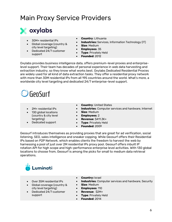## <span id="page-5-0"></span>Main Proxy Service Providers



- 30M+ residential IPs
- Global coverage (country & city level targeting)
- Dedicated 24/7 customer support
- **Country**: Lithuania
- **Industries:** Services, Information Technology (IT)
- **Size**: Medium
- **Employees**: 35
- **Type**: Privately Held
- **Founded**: 2012

Oxylabs provides business intelligence data, offers premium-level proxies and enterpriselevel support. Their team has decades of personal experience in web data harvesting and extraction industry, so they know what works best. Oxylabs Dedicated Residential Proxies are widely used for all kind of data extraction tasks. They offer a residential proxy network with more than 30M residential IPs from all 195 countries around the world. What's more, a worldwide city level targeting and dedicated 24/7 enterprise-level support.

# $\bigcirc$  GeoSurf

- 2M+ residential IPs
- 130 global locations (country & city level targeting)
- Dedicated support
- **Country: United States**
- **Industries**: Computer services and hardware, Internet
	- **Size**: Medium
- **Employees**: 2
- **Revenue**: \$411.3K+
- **Type**: Privately Held
- **Founded**: 2009

Geosurf introduces themselves as providing proxies that are great for ad verification, social listening, SEO, sales intelligence and sneaker copping. While Geosurf offers their Residential IPs based on P2P Network, which enables clients the freedom to harvest the web by harnessing a pool of just over 2M residential IPs proxy pool. Geosurf offers inbuilt IP rotation API for high scope and high-performance enterprise level activities. With 130 global locations to choose from, Geosurf is among the picks for small to medium data retrieval operations.

# Luminati

- Over 35M residential IPs
- Global coverage (country & city level targeting)
- Dedicated 24/7 customer support
- **Country:** Israel
- **Industries:** Computer services and hardware, Security
- **Size**: Medium
	- **Employees**: 110
- **Revenue**: \$2M+
- **Type**: Privately Held
- **Founded**: 2014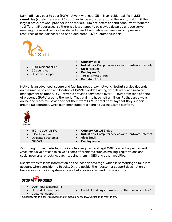Luminati has a peer to peer (P2P) network with over 35 million residential IPs in **223 countries** (surely there are 195 countries in the world) all around the world, making it the largest proxy network provider in the market. Luminati offers to send concurrent requests to different IP addresses, so there is a low chance to be slowed down by a rogue server, meaning the overall service has decent speed. Luminati advertises really impressive resources at their disposal and has a dedicated 24/7 customer support.



- 500k residential IPs
- 50 countries
- Customer support
- **Country**: Israel
- **Industries**: Computer services and hardware, Security
- **Size**: Medium
- **Employees**: 5
- **Type**: Privately Held
- **Founded**: 2017

NetNut is an advanced, secure and fast business proxy network. NetNut service depends on the unique position and location of DiViNetworks' existing data delivery and network management solutions. DiViNetworks provides services to over 100 ISPs from tens of point of presence (PoPs) around the world. They claim to have half a million IPs that are always online and ready to use as they get them from ISPs. In total, they say that they support around 50 countries. While customer support is handled via the Skype platform.



- 150K residential IPs
- 5 Geolocations
- Dedicated customer support
- **Country**: United States
- **Industries**: Computer services and hardware, Internet
- **Size**: Small
	- **Employees**: 4

According to their website, RSocks offers very fast and legit 150K residential proxies and 390K exclusive proxies to solve all sorts of problems such as mailing, registrations and social networks, checking, parsing, using them in SEO and other activities.

Rsocks website lacks information on the location coverage, which is something to take into account when considering Rsocks. On the upside, their customer support does not only have a support ticket system in place but also live chat and Skype options.



- Over 45K residential IPs
	- U.S and EU countries
- Couldn't find any information on the company online\*
- Customer support
- *\*We contacted the providers personally, but did not receive a response from them.*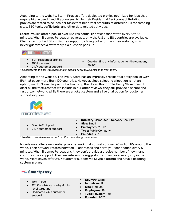According to the website, Storm Proxies offers dedicated proxies optimized for jobs that require high-speed fixed IP addresses. While their Residential Backconnect Rotating proxies are stated to be ideal for tasks that need vast amounts of different IPs for scraping sites, SEO tools, traffic bots, and other data related activities.

Storm Proxies offer a pool of over 45K residential IP proxies that rotate every 3 to 15 minutes. When it comes to location coverage, only the U.S and EU countries are available. Clients can contact Storm Proxies support by filling out a form on their website, which never guarantees a swift reply if a question pops up.



- 30M residential proxies
- 100 locations

• Couldn't find any information on the company online\*

• 24/7 customer support *\*We contacted the providers personally, but did not receive a response from them.*

According to the website, The Proxy Store has an impressive residential proxy pool of 30M IPs that cover more than 100 countries. However, since selecting a location is not an option, we don't see the point of advertising this. Even though The Proxy Store doesn't offer all the features that we include in our other reviews, they still provide a secure and fast proxy network. While there are a ticket system and a live chat option for customer support inquiries.



- Over 26M IP pool
- 24/7 customer support
- **Industry**: Computer & Network Security
- **Size: Small**
- **Employees**: 11-50\*
- **Type: Public Company**
- **Founded**: 2012

*\* We did not receive a response from them specifying the number.*

Microleaves offer a residential proxy network that consists of over 26 million IPs around the world. Their network rotates between IP addresses and ports your connection every 5 minutes. When it comes to locations, they don't provide a precise number of how many countries they support. Their website simply suggests that they cover every city in the world. Microleaves offer 24/7 customer support via Skype platform and have a ticketing system in place.

#### $\equiv$  Smartproxy

• 10M IP pool

support

- 190 Countries (country & city level targeting) • Dedicated 24/7 customer
- **Country**: Global
- **Industries**: IT
- **Size**: Medium
	- **Employees**: 18
	- **Type**: Privately Held
	- **Founded**: 2017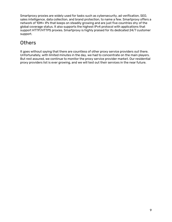Smartproxy proxies are widely used for tasks such as cybersecurity, ad verification, SEO, sales intelligence, data collection, and brand protection, to name a few. Smartproxy offers a network of 10M+ IPs that keeps on steadily growing and are just five countries shy of the global coverage status. It also supports the highest IPv4 protocol with applications that support HTTP/HTTPS proxies. Smartproxy is highly praised for its dedicated 24/7 customer support.

### **Others**

It goes without saying that there are countless of other proxy service providers out there. Unfortunately, with limited minutes in the day, we had to concentrate on the main players. But rest assured, we continue to monitor the proxy service provider market. Our residential proxy providers list is ever growing, and we will test out their services in the near future.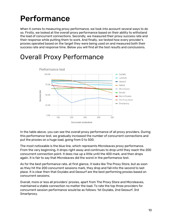# <span id="page-9-0"></span>Performance

When it comes to measuring proxy performance, we took into account several ways to do so. Firstly, we looked at the overall proxy performance based on their ability to withstand the load of concurrent connections. Secondly, we measured their proxy success rate and their response while putting them to work. And finally, we tested how every provider's proxies operated based on the target they were being used on and measured both their success rate and response time. Below you will find all the test results and conclusions.

### <span id="page-9-1"></span>Overall Proxy Performance



In the table above, you can see the overall proxy performance of all proxy providers. During this performance test, we gradually increased the number of concurrent connections and put the proxies on a huge load, going from 0 to 500.

The most noticeable is the blue line, which represents Microleaves proxy performance. From the very beginning, it drops right away and continues to drop until they reach the 200 concurrent connection point. It does rise up a little until the 400 mark, and then drops again. It is fair to say that Microleaves did the worst in the performance test.

As for the best performance rate, at first glance, it looks like The Proxy Store, but as soon as they hit the 200 concurrent sessions mark, they drop and fall into the second to last place. It is clear then that Oxylabs and Geosurf are the best performing proxies based on concurrent sessions.

Overall, more or less all providers' proxies, apart from The Proxy Store and Microleaves, maintained a stable connection no matter the load. To rate the top three providers for concurrent session performance would be as follows: 1st Oxylabs, 2nd Geosurf, 3rd Smartproxy.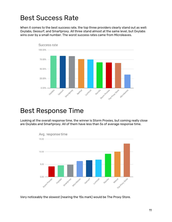## <span id="page-10-0"></span>Best Success Rate

When it comes to the best success rate, the top three providers clearly stand out as well: Oxylabs, Geosurf, and Smartproxy. All three stand almost at the same level, but Oxylabs wins over by a small number. The worst success rates came from Microleaves.



### <span id="page-10-1"></span>Best Response Time

Looking at the overall response time, the winner is Storm Proxies, but coming really close are Oxylabs and Smartproxy. All of them have less than 5s of average response time.



Very noticeably the slowest (nearing the 15s mark) would be The Proxy Store.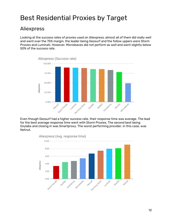# <span id="page-11-0"></span>Best Residential Proxies by Target

#### <span id="page-11-1"></span>Aliexpress

Looking at the success rates of proxies used on Aliexpress, almost all of them did really well and went over the 75% margin, the leader being Geosurf and the follow uppers were Storm Proxies and Luminati. However, Microleaves did not perform as well and went slightly below 50% of the success rate.



Even though Geosurf had a higher success rate, their response time was average. The lead for the best average response time went with Storm Proxies. The second best being Oxylabs and closing in was Smartproxy. The worst performing provider, in this case, was Netnut.

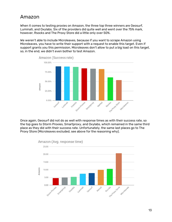#### <span id="page-12-0"></span>Amazon

When it comes to testing proxies on Amazon, the three top three winners are Geosurf, Luminati, and Oxylabs. Six of the providers did quite well and went over the 75% mark, however, Rsocks and The Proxy Store did a little only over 50%.

We weren't able to include Microleaves, because if you want to scrape Amazon using Microleaves, you have to write their support with a request to enable this target. Even if support grants you this permission, Microleaves don't allow to put a big load on this target, so, in the end, we didn't even bother to test Amazon.



Once again, Geosurf did not do as well with response times as with their success rate, so the top goes to Storm Proxies, Smartproxy, and Oxylabs, which remained in the same third place as they did with their success rate. Unfortunately, the same last places go to The Proxy Store (Microleaves excluded, see above for the reasoning why).

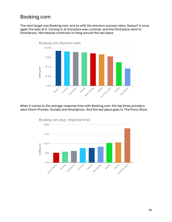#### <span id="page-13-0"></span>Booking.com

The next target was Booking.com, and as with the previous success rates, Geosurf is once again the best at it. Coming in at 2nd place was Luminati, and the third place went to Smartproxy. Microleaves continues to hang around the last place.



When it comes to the average response time with Booking.com, the top three providers were Storm Proxies, Oxylabs and Smartproxy. And the last place goes to The Proxy Store.



Booking.com (Avg. response time)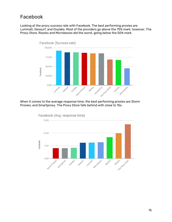### <span id="page-14-0"></span>Facebook

Looking at the proxy success rate with Facebook, The best performing proxies are Luminati, Geosurf, and Oxylabs. Most of the providers go above the 75% mark, however, The Proxy Store, Rsocks and Microleaves did the worst, going below the 50% mark.



When it comes to the average response time, the best performing proxies are Storm Proxies, and Smartproxy. The Proxy Store falls behind with close to 15s.



Facebook (Avg. response time)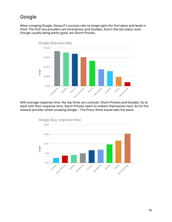### <span id="page-15-0"></span>Google

When scraping Google, Geosurf's success rate no longer gets the first place and lands in third. The first two providers are Smartproxy and Oxylabs. And in the last place, even though usually doing pretty good, are Storm Proxies.



With average response time, the top three are Luminati, Storm Proxies and Oxylabs. So at least with their response time, Storm Proxies seem to redeem themselves here. As for the slowest provider whilst scraping Google - The Proxy Store would take the place.



16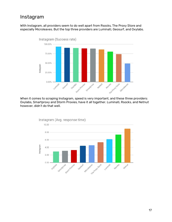### <span id="page-16-0"></span>Instagram

With Instagram, all providers seem to do well apart from Rsocks, The Proxy Store and especially Microleaves. But the top three providers are Luminati, Geosurf, and Oxylabs.



When it comes to scraping Instagram, speed is very important, and these three providers: Oxylabs, Smartproxy and Storm Proxies, have it all together. Luminati, Rsocks, and Netnut however, didn't do that well.



17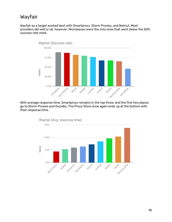### <span id="page-17-0"></span>Wayfair

Wayfair as a target worked best with Smartproxy, Storm Proxies, and Netnut. Most providers did well or ok, however, Microleaves were the only ones that went below the 50% success rate mark.



With average response time, Smartproxy remains in the top three, and the first two places go to Storm Proxies and Oxylabs. The Proxy Store once again ends up at the bottom with their response time.

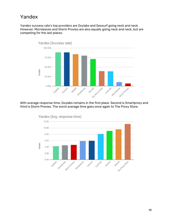#### <span id="page-18-0"></span>Yandex

Yandex success rate's top providers are Oxylabs and Geosurf going neck and neck. However, Microleaves and Storm Proxies are also equally going neck and neck, but are competing for the last places.



With average response time, Oxylabs remains in the first place. Second is Smartproxy and third is Storm Proxies. The worst average time goes once again to The Proxy Store.

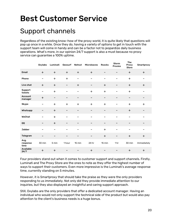# <span id="page-19-0"></span>Best Customer Service

### <span id="page-19-1"></span>Support channels

Regardless of the existing know-how of the proxy world, it is quite likely that questions will pop up once in a while. Once they do, having a variety of options to get in touch with the support team will come in handy and can be a factor not to jeopardize daily business operations. What's more, in our opinion 24/7 support is also a must because no proxy service can guarantee a 100% uptime.

|                          | Oxylabs                      | Luminati  | Geosurf           | Netnut                   | <b>Microleaves</b>       | <b>Rsocks</b> | Storm<br><b>Proxies</b> | <b>The</b><br>Proxy<br><b>Store</b> | Smartproxy  |
|--------------------------|------------------------------|-----------|-------------------|--------------------------|--------------------------|---------------|-------------------------|-------------------------------------|-------------|
| Email                    | $+$                          | $\ddot{}$ | $\ddot{}$         | $\ddot{}$                | $\ddot{}$                |               |                         | $\ddot{}$                           | $+$         |
| Phone                    | $\overline{\phantom{0}}$     | $+$       | $\pm$             |                          | $\qquad \qquad$          |               |                         | $\ddot{}$                           |             |
| Live chat                | $\ddot{}$                    | $\ddot{}$ | $\qquad \qquad -$ | $\ddot{}$                | $\qquad \qquad -$        | $+$           |                         | $+$                                 | $+$         |
| Support<br>tickets       | -                            | $+$       | -                 | $\overline{\phantom{0}}$ | $\ddot{}$                | $\ddot{}$     | -                       | $\ddot{}$                           |             |
| Account<br>manager       | $\ddot{}$                    | -         | -                 | $\overline{\phantom{0}}$ | $\overline{\phantom{m}}$ |               |                         | -                                   |             |
| <b>Skype</b>             | $\qquad \qquad \blacksquare$ | $+$       | $+$               | $+$                      | $\ddot{}$                | $+$           |                         | $+$                                 | $+$         |
| Whatsapp                 |                              | $+$       | -                 |                          | $\qquad \qquad$          |               |                         | $+$                                 |             |
| WeChat                   |                              | $+$       |                   |                          | -                        |               |                         |                                     |             |
| QQ                       |                              | $+$       | -                 |                          | $\overline{\phantom{a}}$ | -             |                         | -                                   |             |
| <b>Jabber</b>            | $\overline{\phantom{0}}$     | -         | -                 |                          | $\qquad \qquad$          | $\ddot{}$     |                         | -                                   |             |
| Telegram                 |                              |           |                   |                          | -                        | $\ddot{}$     |                         | $\ddot{}$                           | $+$         |
| Avg.<br>response<br>time | 30 min                       | 5 min     | 1 hour            | 15 min                   | 24 hr                    | 15 min        | 1 <sub>hr</sub>         | 30 min                              | Immediately |
| Available<br>24/7        | $\ddot{}$                    | $+$       |                   |                          | $+$                      |               |                         | $\ddot{}$                           | $+$         |

Four providers stand out when it comes to customer support and support channels. Firstly, Luminati and The Proxy Store are the ones to note as they offer the highest number of ways to support their customers. Even more impressive is the Luminati's average response time, currently standing on 5 minutes.

However, it is Smartproxy that should take the praise as they were the only providers responding to us immediately. Not only did they provide immediate attention to our inquiries, but they also displayed an insightful and caring support approach.

Still, Oxylabs are the only providers that offer a dedicated account manager. Having an individual who would not only support the technical side of the product but would also pay attention to the client's business needs is a huge bonus.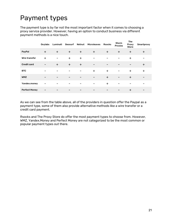# <span id="page-20-0"></span>Payment types

The payment type is by far not the most important factor when it comes to choosing a proxy service provider. However, having an option to conduct business via different payment methods is a nice touch.

|                      | Oxylabs           | Luminati  | Geosurf                  | Netnut          | Microleaves | <b>Rsocks</b>   | <b>Storm</b><br><b>Proxies</b> | <b>The</b><br>Proxy<br><b>Store</b> | Smartproxy |
|----------------------|-------------------|-----------|--------------------------|-----------------|-------------|-----------------|--------------------------------|-------------------------------------|------------|
| PayPal               | $\ddot{}$         | $\ddot{}$ | $\ddot{}$                | $+$             | $\ddot{}$   | $+$             | $\ddot{}$                      | $+$                                 | $\pm$      |
| Wire transfer        | $\ddot{}$         | -         | $\ddot{}$                | $\ddot{}$       |             |                 | -                              | $\ddot{}$                           |            |
| <b>Credit card</b>   | $\qquad \qquad -$ | $+$       | $\pm$                    | $+$             | -           | $\qquad \qquad$ |                                | -                                   | $\ddot{}$  |
| <b>BTC</b>           |                   |           |                          |                 | $\ddot{}$   | $\ddot{}$       |                                | $\ddot{}$                           | $\ddot{}$  |
| <b>WMZ</b>           |                   | -         | $\overline{\phantom{m}}$ |                 |             | $+$             | -                              | $+$                                 | -          |
| Yandex.money         |                   | -         |                          |                 | -           | $\ddot{}$       |                                | -                                   |            |
| <b>Perfect Money</b> |                   |           | -                        | $\qquad \qquad$ | -           | $\qquad \qquad$ | -                              | $\ddot{}$                           | -          |

As we can see from the table above, all of the providers in question offer the Paypal as a payment type, some of them also provide alternative methods like a wire transfer or a credit card payment.

<span id="page-20-1"></span>Rsocks and The Proxy Store do offer the most payment types to choose from. However, WMZ, Yandex.Money and Perfect Money are not categorized to be the most common or popular payment types out there.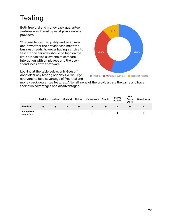# Testing

Both free trial and money back guarantee features are offered by most proxy service providers.

What matters is the quality and an answer about whether the provider can meet the business needs, however having a choice to test out the services should be high on the list, as it can also allow one to compare interaction with employees and the userfriendliness of the software.

Looking at the table below, only Geosurf don't offer any testing options. So, we urge everyone to take advantage of free trial and



money back guarantee features. After all, none of the providers are the same and have their own advantages and disadvantages.

<span id="page-21-0"></span>

|                         | <b>Oxylabs</b> | Luminati |                              |                          | Geosurf Netnut Microleaves | <b>Rsocks</b>            | Storm<br><b>Proxies</b>  | <b>The</b><br>Proxy<br><b>Store</b> | Smartproxy               |
|-------------------------|----------------|----------|------------------------------|--------------------------|----------------------------|--------------------------|--------------------------|-------------------------------------|--------------------------|
| <b>Free trial</b>       |                |          | $\qquad \qquad \blacksquare$ |                          | $\overline{\phantom{a}}$   |                          | $\overline{\phantom{0}}$ |                                     | $\overline{\phantom{0}}$ |
| Money back<br>guarantee | -              | -        | $\overline{\phantom{0}}$     | $\overline{\phantom{0}}$ |                            | $\overline{\phantom{a}}$ |                          | $\overline{\phantom{0}}$            |                          |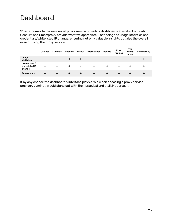## Dashboard

When it comes to the residential proxy service providers dashboards, Oxylabs, Luminati, Geosurf, and Smartproxy provide what we appreciate. That being the usage statistics and credentials/whitelisted IP change, ensuring not only valuable insights but also the overall ease of using the proxy service.

|                                                  | Oxylabs | Luminati | Geosurf | Netnut                   | <b>Microleaves</b>       | <b>Rsocks</b> | Storm<br><b>Proxies</b> | <b>The</b><br>Proxy<br><b>Store</b> | Smartproxy |
|--------------------------------------------------|---------|----------|---------|--------------------------|--------------------------|---------------|-------------------------|-------------------------------------|------------|
| <b>Usage</b><br>statistics                       |         |          |         | +                        | $\overline{\phantom{0}}$ | -             | -                       | $\overline{\phantom{0}}$            | ᆠ          |
| Credentials /<br><b>Whitelisted IP</b><br>change |         |          |         | $\overline{\phantom{0}}$ |                          |               |                         |                                     | ∸          |
| <b>Renew plans</b>                               |         |          |         |                          |                          | ÷             |                         |                                     | ∸          |

If by any chance the dashboard's interface plays a role when choosing a proxy service provider, Luminati would stand out with their practical and stylish approach.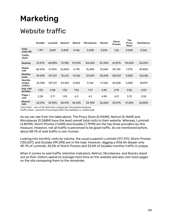# <span id="page-23-0"></span>Marketing

## <span id="page-23-1"></span>Website traffic

|                               | Oxylabs | Luminati | Geosurf | Netnut | <b>Microleaves</b> | <b>Rsocks</b> | <b>Storm</b><br><b>Proxies</b> | The<br>Proxy<br><b>Store</b> | Smartproxy |
|-------------------------------|---------|----------|---------|--------|--------------------|---------------|--------------------------------|------------------------------|------------|
| Total<br>visits (M)           | 1.191   | 3.807    | 0.848   | 0.166  | 0.348              | 0.596         | 1.56                           | 0.044                        | 0.562      |
| <b>Traffic</b><br>share       |         |          |         |        |                    |               |                                |                              |            |
| <b>Desktop</b>                | 31.57%  | 68.80%   | 73.18%  | 93.29% | 84.60%             | 87.34%        | 69.87%                         | 92.03%                       | 50.20%     |
| Mobile<br>web                 | 68.43%  | 31.20%   | 26.82%  | 6.71%  | 15.40%             | 12.66%        | 30.13%                         | 7.97%                        | 49.80%     |
| Monthly<br>visits             | 99.298  | 317,311  | 70,672  | 14,146 | 29,029             | 50,298        | 130.027                        | 5,000                        | 53,638     |
| Monthly<br>unique<br>visitors | 32,358  | 129.127  | 33.433  | 5,000  | 9,742              | 17,460        | 44,528                         | 5,000                        | 18,879     |
| Avg. visit<br>duration        | 1:33    | 3:08     | 1:52    | 7:52   | 7:21               | 6:45          | 3:19                           | 3:26                         | 2:03       |
| Pages /<br>visit              | 2.28    | 3.71     | 1.95    | 6.3    | 4.2                | 4.98          | 4.21                           | 3.13                         | 2.52       |
| <b>Bounce</b><br>rate         | 62.21%  | 53.92%   | 55.41%  | 36.32% | 34.78%             | 36.06%        | 33.47%                         | 41.23%                       | 56.85%     |

*Total Visits - sum of all visits (non-unique) per time period analyzed.* 

*Traffic share - percent of incoming traffic from desktop vs. mobile web.*

As we can see from the table above, The Proxy Store (0.044M), Netnut (0.166M) and Microleaves (0.368M) have the least overall total visits to their website. Whereas, Luminati (3.807M), Storm Proxies (1.56M) and Oxylabs (1.191M) are the top three providers by this measure. However, not all traffic is perceived to be good traffic. As we mentioned before, about 58.1% of web traffic is non-human.

Looking into monthly visits by volume, the usual suspects Luminati (317,311), Storm Proxies (130,027), and Oxylabs (99,298) are in the lead. However, digging a little bit deeper only 40.7% of Luminati, 34.2% of Storm Proxies and 32.6% of Oxylabs monthly traffic is unique.

When it comes to web traffic retention indicators, Netnut, Microleaves, and Rsocks stand out as their visitors spend on average more time on the website and also visit more pages on the site comparing them to the remainder.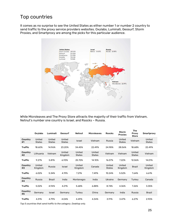### <span id="page-24-0"></span>Top countries

It comes as no surprise to see the United States as either number 1 or number 2 country to send traffic to the proxy service providers websites. Oxylabs, Luminati, Geosurf, Storm Proxies, and Smartproxy are among the picks for this particular audience.



While Microleaves and The Proxy Store attracts the majority of their traffic from Vietnam, Netnut's number one country is Israel, and Rsocks – Russia.

|                | <b>Oxylabs</b>          | Luminati                | Geosurf                 | Netnut                  | <b>Microleaves</b>      | <b>Rsocks</b>           | <b>Storm</b><br><b>Proxies</b> | The<br>Proxy<br><b>Store</b> | Smartproxy              |
|----------------|-------------------------|-------------------------|-------------------------|-------------------------|-------------------------|-------------------------|--------------------------------|------------------------------|-------------------------|
| Country<br>#1  | United<br><b>States</b> | United<br><b>States</b> | United<br><b>States</b> | Israel                  | Vietnam                 | Russia                  | United<br><b>States</b>        | Vietnam                      | United<br><b>States</b> |
| <b>Traffic</b> | 18.60%                  | 14.96%                  | 23.20%                  | 34.45%                  | 22.49%                  | 24.98%                  | 28.56%                         | 18.68%                       | 22.49%                  |
| Country<br>#2  | Lithuania               | Vietnam                 | United<br>Kingdom       | United<br><b>States</b> | United<br><b>States</b> | Vietnam                 | Vietnam                        | United<br><b>States</b>      | Vietnam                 |
| <b>Traffic</b> | 9.27%                   | 5.81%                   | 6.93%                   | 25.70%                  | 14.10%                  | 16.07%                  | 7.22%                          | 12.06%                       | 14.01%                  |
| Country<br>#3  | United<br>Kingdom       | Russia                  | <b>Israel</b>           | United<br>Kingdom       | Canada                  | United<br><b>States</b> | United<br>Kingdom              | <b>Brazil</b>                | United<br>Kingdom       |
| <b>Traffic</b> | 6.02%                   | 5.34%                   | 4.19%                   | 7.21%                   | 7.49%                   | 10.24%                  | 5.52%                          | 7.64%                        | 6.61%                   |
| Country<br>#4  | Russia                  | <b>Brazil</b>           | India                   | Montenegro              | India                   | Ukraine                 | Germany                        | Turkey                       | Canada                  |
| <b>Traffic</b> | 5.02%                   | 4.94%                   | 4.21%                   | 5.68%                   | 6.88%                   | 8.74%                   | 4.36%                          | 7.26%                        | 3.35%                   |
| Country<br>#5  | Germany                 | Israel                  | Germany                 | Turkey                  | China                   | Germany                 | India                          | Russia                       | <b>Brazil</b>           |
| <b>Traffic</b> | 4.31%                   | 4.79%                   | 4.04%                   | 4.49%                   | 4.34%                   | 3.91%                   | 3.47%                          | 6.27%                        | 2.90%                   |

*Top 5 countries that send traffic to the category. Desktop only.*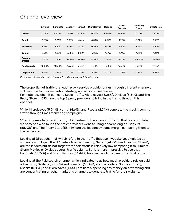#### <span id="page-25-0"></span>Channel overview

|                    | Oxylabs | Luminati | Geosurf | Netnut | <b>Microleaves</b> | <b>Rsocks</b> | <b>Storm</b><br><b>Proxies</b> | The Proxy<br><b>Store</b> | Smartproxy |
|--------------------|---------|----------|---------|--------|--------------------|---------------|--------------------------------|---------------------------|------------|
| <b>Direct</b>      | 27.78%  | 43.79%   | 18.63%  | 74.79% | 56.48%             | 62.64%        | 56.44%                         | 27.34%                    | 32.72%     |
| <b>Email</b>       | 2.22%   | 1.96%    | 1.08%   | 4.61%  | 5.04%              | 2.74%         | 1.95%                          | 0.62%                     | 1.53%      |
| <b>Referrals</b>   | 4.23%   | 3.52%    | 4.13%   | 1.17%  | 13.68%             | 19.38%        | 3.54%                          | 3.43%                     | 14.65%     |
| <b>Social</b>      | 5.61%   | 4.08%    | 2.05%   | 0.82%  | 6.26%              | 1.81%         | 3.74%                          | 4.69%                     | 4.36%      |
| Organic<br>traffic | 21.27%  | 27.49%   | 68.13%  | 12.27% | 15.34%             | 12.50%        | 20.24%                         | 55.44%                    | 20.92%     |
| <b>Paid search</b> | 30.08%  | 18.34%   | 4.96%   | 6.34%  | 1.44%              | 0.85%         | 13.31%                         | 8.24%                     | 17.45%     |
| Display ads        | 8.61%   | 0.83%    | 1.01%   | 0.00%  | 1.76%              | 0.07%         | 0.78%                          | 0.24%                     | 8.38%      |

*Percentage of incoming traffic from each marketing channel. Desktop only.*

The proportion of traffic that each proxy service provider brings through different channels will vary due to their marketing strategy and allocated resources. For instance, when it comes to Social traffic, Microleaves (6.26%), Oxylabs (5.61%), and The Proxy Store (4.69%) are the top 3 proxy providers to bring in the traffic through this channel.

While, Microleaves (5.04%), Netnut (4.61%) and Rsocks (2.74%) generate the most incoming traffic through Email marketing campaigns.

When it comes to Organic traffic, which refers to the amount of traffic that is accumulated via someone who found the proxy providers website using a search engine, Geosurf (68.13%) and The Proxy Store (55.44%) are the leaders by some margin comparing them to the remainder.

Looking at Direct channel, which refers to the traffic that each website accumulates by someone who typed the URL into a browser directly, Netnut (74.79%) and Rsocks (62.64%) are the leaders but do not forget that their traffic is relatively low comparing it to Luminati, Storm Proxies or Oxylabs overall traffic volume. So, it is more impressive to see that Luminati (43.79%) and Storm Proxies (56.44%) bring in their lion share of traffic directly.

Looking at the Paid search channel, which indicates to us how much providers rely on paid advertising, Oxylabs (30.08%) and Luminati (18.34%) are the leaders. On the contrary, Rsocks (0.85%) and Microleaves (1.44%) are barely spending any money on advertising and are concentrating on other marketing channels to generate traffic for their website.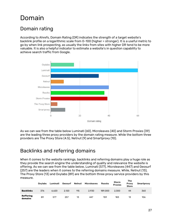## <span id="page-26-0"></span>Domain

### <span id="page-26-1"></span>Domain rating

According to Ahrefs, Domain Rating (DR) indicates the strength of a target website's backlink profile on a logarithmic scale from 0-100 (higher = stronger). It is a useful metric to go by when link prospecting, as usually the links from sites with higher DR tend to be more valuable. It is also a helpful indicator to estimate a website's in question capability to achieve search traffic from Google.



As we can see from the table below Luminati (60), Microleaves (40) and Storm Proxies (39) are the leading three proxy providers by the domain rating measure. While the bottom three providers are The Proxy Store (4.5), Netnut (9) and Smartproxy (10).

### <span id="page-26-2"></span>Backlinks and referring domains

When it comes to the website rankings, backlinks and referring domains play a huge role as they provide the search engine the understanding of quality and relevance the website is offering. As we can see from the table below, Luminati (577), Microleaves (447) and Geosurf (257) are the leaders when it comes to the referring domains measure. While, Netnut (13), The Proxy Store (13) and Oxylabs (89) are the bottom three proxy service providers by this measure.

|                             | Oxylabs | Luminati | Geosurf | Netnut | <b>Microleaves</b> | <b>Rsocks</b> | Storm<br><b>Proxies</b> | The<br>Proxy<br><b>Store</b> | Smartproxy |
|-----------------------------|---------|----------|---------|--------|--------------------|---------------|-------------------------|------------------------------|------------|
| <b>Backlinks</b>            | 376     | 6.620    | 2.120   | 115    | 2.930              | 189,000       | 2.300                   | 44                           | 360        |
| <b>Reffering</b><br>domains | 89      | 577      | 257     | 13     | 447                | 159           | 183                     | 13                           | 106        |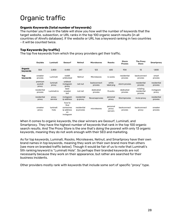# <span id="page-27-0"></span>Organic traffic

#### **Organic Keywords (total number of keywords)**

The number you'll see in the table will show you how well the number of keywords that the target website, subsection, or URL ranks in the top 100 organic search results (in all countries of Ahrefs database). If the website or URL has a keyword ranking in two countries - it will be counted twice.

#### **Top Keywords (by traffic)**

The top five keywords from which the proxy providers get their traffic.

|                        | Oxylabs                    | Luminati          | Geosurf                                                     | Netnut                    | <b>Microleaves</b>     | <b>Rsocks</b>                | Storm<br><b>Proxies</b> | <b>The Proxy</b><br><b>Store</b>   | Smartproxy             |
|------------------------|----------------------------|-------------------|-------------------------------------------------------------|---------------------------|------------------------|------------------------------|-------------------------|------------------------------------|------------------------|
| Organic<br>keywords    | 554                        | 2.800             | 4.400                                                       | 247                       | 123                    | 600                          | 934                     | 13                                 | 1.800                  |
| <b>Top</b><br>keywords | sneaker<br>proxies         | Luminati          | reddit<br>unblocked                                         | Netnut                    | Microleaves            | rs socks                     | residential<br>proxies  | backconnect<br>proxies             | smart<br>proxies       |
|                        | premium<br>socks5<br>proxy | luminati<br>proxy | unblock<br>instagram<br>proxy                               | net nut                   | backconnect<br>proxies | white<br>label png           | storm proxies           | residential<br>proxies             | residential<br>proxies |
|                        | residential<br>proxies     | Luminati.jo       | best<br>sneaker<br>bot                                      | nut net                   | dedicated<br>proxies   | R.socks                      | dedicated<br>proxies    | rotating<br>residential<br>proxies | instagram<br>proxy     |
|                        | residential<br>proxy       | proxy<br>service  | instagram<br>ip address                                     | residential<br>ip proxy   | Reverseproxies         | personal<br>proxy            | Stormproxies            | invisi proxy                       | residential<br>proxies |
|                        | sneaker<br>proxy           | luminati<br>hola  | how to<br>find<br>someones<br>ip address<br>on<br>instagram | residential<br>ip proxies | microleaves            | personal<br>proxy<br>servers | backconnect<br>proxies  | backconnect<br>proxy               | sneaker<br>proxies     |

When it comes to organic keywords, the clear winners are Geosurf, Luminati, and Smartproxy. They have the highest number of keywords that rank in the top 100 organic search results. And The Proxy Store is the one that's doing the poorest with only 13 organic keywords, meaning they do not work enough with their SEO and marketing.

As for top keywords, Luminati, Rsocks, Microleaves, Netnut, and Smartproxy have their own brand names in top keywords, meaning they work on their own brand more than others (see more on branded traffic below). Though it would be fair of us to note that Luminati's 5th ranking keyword is "Luminati Hola". So perhaps their branded keywords are not necessarily because they work on their appearance, but rather are searched for their business incidents.

Other providers mostly rank with keywords that include some sort of specific "proxy" type.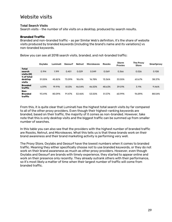#### <span id="page-28-0"></span>Website visits

#### **Total Search Visits**

Search visits - the number of site visits on a desktop, produced by search results.

#### **Branded Traffic**

Branded and non-branded traffic - as per Similar Web's definition, it's the share of website visits produced by branded keywords (including the brand's name and its variations) vs non-branded keywords.

|                                      | <b>Oxylabs</b> | Luminati | Geosurf | <b>Netnut</b> | <b>Microleaves</b> | <b>Rsocks</b> | <b>Storm</b><br><b>Proxies</b> | The Proxy<br><b>Store</b> | Smartproxy |
|--------------------------------------|----------------|----------|---------|---------------|--------------------|---------------|--------------------------------|---------------------------|------------|
| <b>Total</b><br>search<br>visits (M) | 0.194          | 1.199    | 0.451   | 0.029         | 0.049              | 0.069         | 0.366                          | 0.026                     | 0.108      |
| % of total<br>desktop<br>visits      | 51.55%         | 45.82%   | 73.09%  | 18.61%        | 16.78%             | 13.36%        | 33.55%                         | 63.67%                    | 38.37%     |
| <b>Branded</b><br>traffic            | 6.59%          | 19.91%   | 8.53%   | 46.54%        | 46.50%             | 48.63%        | 39.01%                         | 3.11%                     | 11.46%     |
| Non-<br><b>Branded</b><br>traffic    | 93.41%         | 80.09%   | 91.47%  | 53.46%        | 53.50%             | 51.37%        | 60.99%                         | 96.89%                    | 88.54%     |

Below you can see all 2018 search visits, branded, and not-branded traffic:

From this, it is quite clear that Luminati has the highest total search visits by far compared to all of the other proxy providers. Even though their highest-ranking keywords are branded, based on their traffic, the majority of it comes as non-branded. However, take note that this is only desktop visits and the biggest traffic can be summed up from smaller number of searches.

In this table you can also see that the providers with the highest number of branded traffic are Rsocks, Netnut, and Microleaves. What this tells us is that these brands work on their brand awareness and their brand marketing activity is performing very well.

The Proxy Store, Oxylabs and Geosurf have the lowest numbers when it comes to branded traffic. Meaning they either specifically choose not to use branded keywords, or they do not work on their brand awareness as much as other proxy providers. However, even though Oxylabs and Geosurf are brands with timely experience, they started to appear online and work on their presence only recently. They already outrank others with their performance, so it's most likely a matter of time when their largest number of traffic will come from branded traffic.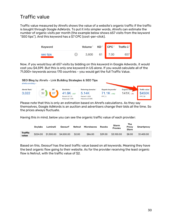### <span id="page-29-0"></span>Traffic value

Traffic value measured by Ahrefs shows the value of a website's organic traffic if the traffic is bought through Google AdWords. To put it into simpler words, Ahrefs can estimate the number of organic visits per month (the example below shows 657 visits from the keyword "SEO tips"). And this keyword has a \$7 CPC (cost-per-click).



Now, if you would buy all 657 visits by bidding on this keyword in Google Adwords, it would cost you \$4,599. But this is only one keyword in US alone. If you would calculate all of the 71,000+ keywords across 170 countries - you would get the full Traffic Value.



Please note that this is only an estimation based on Ahrefs calculations. As they say themselves, Google AdWords is an auction and advertisers change their bids all the time. So the prices always fluctuate.

Having this in mind, below you can see the organic traffic value of each provider:

|                         | Oxylabs  | Luminati   | Geosurf    | <b>Netnut</b> | Microleaves | Rsocks  | Storm<br><b>Proxies</b> | The<br>Proxy<br><b>Store</b> | Smartproxy |
|-------------------------|----------|------------|------------|---------------|-------------|---------|-------------------------|------------------------------|------------|
| <b>Traffic</b><br>value | \$224.00 | \$1,300.00 | \$4,500,00 | \$2.00        | \$86,00     | \$29.00 | \$3,100.00              | \$8.00                       | \$1,400.00 |

Based on this, Geosurf has the best traffic value based on all keywords. Meaning they have the best organic flow going to their website. As for the provider receiving the least organic flow is Netnut, with the traffic value of \$2.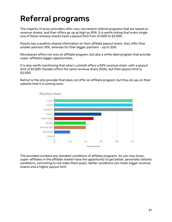# <span id="page-30-0"></span>Referral programs

The majority of proxy providers offer very convenient referral programs that are based on revenue shares, and their offers go up as high as 50%. It is worth noting that every single one of these revenue shares have a payout limit from \$1,000 to \$2,000.

Rsocks has a publicly shared information on their affiliate payout levels: they offer their smaller partners 10%, whereas for their bigger partners - up to 20%.

Microleaves offers not only an affiliate program, but also a white label program that provide super-affiliates bigger opportunities.

It is also worth mentioning that when Luminati offers a 50% revenue share with a payout limit of \$1,000, Oxylabs offers the same revenue share (50%), but their payout limit is \$2,000.

Netnut is the only provider that does not offer an affiliate program, but they do say on their website that it is coming soon.



The provided numbers are standard conditions of affiliate programs. As you may know, super-affiliates in the affiliate market have the opportunity to get better, personally tailored conditions, commiting to not make them pubic. Better conditions can mean bigger revenue shares and a higher payout limit.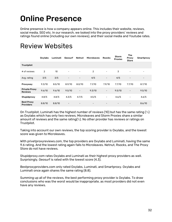# <span id="page-31-0"></span>Online Presence

Online presence is how a company appears online. This includes their website, reviews, social media, SEO etc. In our research, we looked into the proxy providers' reviews and ratings found online (including our own reviews), and their social media and Youtube rates.

|                                        | Oxylabs        | Luminati | Geosurf                  | Netnut                   | <b>Microleaves</b>       | <b>Rsocks</b>            | <b>Storm</b><br><b>Proxies</b> | <b>The</b><br>Proxy<br><b>Store</b> | Smartproxy               |
|----------------------------------------|----------------|----------|--------------------------|--------------------------|--------------------------|--------------------------|--------------------------------|-------------------------------------|--------------------------|
| Trustpilot                             |                |          |                          |                          |                          |                          |                                |                                     |                          |
| # of reviews                           | $\overline{2}$ | 10       | $\qquad \qquad -$        |                          | $\overline{2}$           | $\overline{\phantom{a}}$ | 3                              | $\overline{\phantom{m}}$            | $\overline{\phantom{a}}$ |
| Avg. rating                            | 3/5            | 3/5      | $\overline{\phantom{a}}$ | -                        | 4/5                      | $\overline{\phantom{a}}$ | 4/5                            | $\overline{\phantom{m}}$            | $\overline{\phantom{a}}$ |
| Proxyway                               | 9.3/10         | 8.5/10   | 8.9/10                   | 8.0/10                   | 7.1/10                   | 7.9/10                   | 7.7/10                         | 7.7/10                              | 8.7/10                   |
| <b>Private Proxy</b><br><b>Reviews</b> | 9.6/10         | 9.6/10   | 9.5/10                   | $\overline{\phantom{a}}$ | 9.3/10                   | $\overline{\phantom{a}}$ | 9.5/10                         | $\overline{\phantom{a}}$            | 9.5/10                   |
| Stupidproxy                            | 4.8/5          | 4.8/5    | 4.3/5                    | 4.7/5                    | 4.5/5                    | $\overline{\phantom{a}}$ | 4.6/5                          | $\overline{\phantom{a}}$            | 4.6/5                    |
| <b>Best Proxy</b><br><b>Providers</b>  | 8.8/10         | 8.8/10   |                          |                          | $\overline{\phantom{0}}$ |                          |                                | $\overline{\phantom{m}}$            | 8.6/10                   |

## <span id="page-31-1"></span>Review Websites

On Trustpilot, Luminati has the highest number of reviews (10) but has the same rating  $(\frac{3}{5})$ as Oxylabs which has only two reviews. Microleaves and Storm Proxies share a similar amount of reviews and the same rating( $\frac{4}{5}$ ). No other provider has reviews or ratings on Trustpilot.

Taking into account our own reviews, the top scoring provider is Oxylabs, and the lowest score was given to Microleaves.

With privetproxyreviews.com, the top providers are Oxylabs and Luminati, having the same 9.6 rating. And the lowest rating again falls to Microleaves. Netnut, Rsocks, and The Proxy Store do not have reviews.

Stupidproxy.com rates Oxylabs and Luminati as their highest proxy providers as well. Surprisingly, Geosurf is rated with the lowest score (4.3).

Bestproxyproviders.com only rated Oxylabs, Luminati, and Smartproxy. Oxylabs and Luminati once again shares the same rating (8.8).

Summing up all of the reviews, the best performing proxy provider is Oxylabs. To draw conclusions who was the worst would be inappropriate, as most providers did not even have any reviews.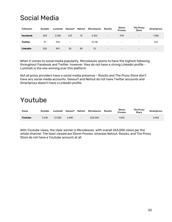# <span id="page-32-0"></span>Social Media

| <b>Followers</b> | <b>Oxylabs</b> | Luminati | Geosurf                  | Netnut                   | <b>Microleaves</b> | <b>Rsocks</b>            | Storm<br><b>Proxies</b>  | <b>The Proxy</b><br><b>Store</b> | Smartproxy               |
|------------------|----------------|----------|--------------------------|--------------------------|--------------------|--------------------------|--------------------------|----------------------------------|--------------------------|
| <b>Facebook</b>  | 305            | 3.108    | 613                      | 15                       | 2.154              | $\overline{\phantom{a}}$ | 978                      | $\overline{\phantom{0}}$         | 1,788                    |
| Twitter          | 91             | 996      | $\overline{\phantom{a}}$ | $\overline{\phantom{a}}$ | 13.118             | $\overline{\phantom{a}}$ | $\overline{\phantom{0}}$ | -                                | 513                      |
| Linkedin         | 232            | 851      | 35                       | 85                       | 13                 | $\overline{\phantom{a}}$ | $\overline{\phantom{0}}$ | $\overline{\phantom{0}}$         | $\overline{\phantom{a}}$ |

When it comes to social media popularity, Microleaves seems to have the highest following throughout Facebook and Twitter, however, they do not have a strong Linkedin profile - Luminati is the one winning over this platform.

Not all proxy providers have a social media presence - Rsocks and The Proxy Store don't have any social media accounts. Geosurf and Netnut do not have Twitter accounts and Smartproxy doesn't have a Linkedin profile.

### <span id="page-32-1"></span>Youtube

| <b>Views</b> | <b>Oxylabs</b> | Luminati | Geosurf | Netnut            | <b>Microleaves</b> | <b>Rsocks</b>            | <b>Storm</b><br><b>Proxies</b> | The Proxy<br><b>Store</b> | Smartproxy |
|--------------|----------------|----------|---------|-------------------|--------------------|--------------------------|--------------------------------|---------------------------|------------|
| Youtube      | 5.318          | 57.283   | 6.489   | $\qquad \qquad -$ | 263,000            | $\overline{\phantom{a}}$ | 1.043                          | $\overline{\phantom{0}}$  | 3.450      |

With Youtube views, the clear winner is Microleaves, with overall 263,000 views per the whole channel. The least viewed are Storm Proxies, whereas Netnut, Rsocks, and The Proxy Store do not have a Youtube account at all.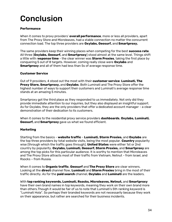# <span id="page-33-0"></span>**Conclusion**

#### **Performance**

When it comes to proxy providers' **overall performance**, more or less all providers, apart from The Proxy Store and Microleaves, had a stable connection no matter the concurrent connection load. The top three providers are **Oxylabs, Geosurf,** and **Smartproxy.**

The same providers keep their winning places when competing for the best **success rate**. All three (**Oxylabs, Geosurf,** and **Smartproxy**) stood almost at the same level. Things shift a little with r**esponse time** - the clear winner was **Storm Proxies**, taking the first place by conquering 5 out of 8 targets. However, coming really close were **Oxylabs** and **Smartproxy** and all of them had less than 5s of average response time.

#### **Customer Service**

Out of 9 providers, 4 stood out the most with their **customer service**: **Luminati, The Proxy Store, Smartproxy,** and **Oxylabs**. Both Luminati and The Proxy Store offer the highest number of ways to support their customers and Luminati's average response time stands at an amazing 5 minutes.

Smartproxy got the third place as they responded to us immediately. Not only did they provide immediate attention to our inquiries, but they also displayed an insightful support. As for Oxylabs, they are the only providers that offer a dedicated account manager - a clear demonstration of their dedication to its customers.

When it comes to the residential proxy service providers **dashboards**, **Oxylabs, Luminati, Geosurf,** and **Smartproxy** gave us what we found efficient.

#### **Marketing**

Starting from the basics - **website traffic** - **Luminati, Storm Proxies,** and **Oxylabs** are the top three providers by total website visits, being the most popular. **Country** popularity wise (through which the traffic goes through), **United States** were either 1st or 2nd country by popularity. **Oxylabs, Luminati, Geosurf, Storm Proxies,** and **Smartproxy** are among the top picks for this particular audience. It is worthy to mention that Microleaves and The Proxy Store attracts most of their traffic from Vietnam, Netnut - from Israel, and Rsocks – from Russia.

When it comes to **Organic traffic**, **Geosurf** and **The Proxy Store** are clear winners. Looking at the **direct** channel flow, **Luminati** and **Storm Proxies** bring in the most of their traffic directly. As for the **paid search** channel, **Oxylabs** and **Luminati** are the leaders.

#### With **top ranking keywords, Luminati, Rsocks, Microleaves, Netnut,** and **Smartproxy**

have their own brand names in top keywords, meaning they work on their own brand more than others.Though it would be fair of us to note that Luminati's 5th ranking keyword is "Luminati Hola". So perhaps their branded keywords are not necessarily because they work on their appearance, but rather are searched for their business incidents.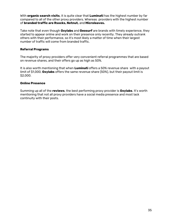With **organic search visits**, it is quite clear that **Luminati** has the highest number by far compared to all of the other proxy providers. Whereas providers with the highest number of **branded traffic are Rsocks, Netnut,** and **Microleaves.** 

Take note that even though **Oxylabs** and **Geosurf** are brands with timely experience, they started to appear online and work on their presence only recently. They already outrank others with their performance, so it's most likely a matter of time when their largest number of traffic will come from branded traffic.

#### **Referral Programs**

The majority of proxy providers offer very convenient referral programmes that are based on revenue shares, and their offers go up as high as 50%.

It is also worth mentioning that when **Luminati** offers a 50% revenue share with a payout limit of \$1,000, **Oxylabs** offers the same revenue share (50%), but their payout limit is \$2,000.

#### **Online Presence**

Summing up all of the **reviews**, the best performing proxy provider is **Oxylabs**. It's worth mentioning that not all proxy providers have a social media presence and most lack continuity with their posts.